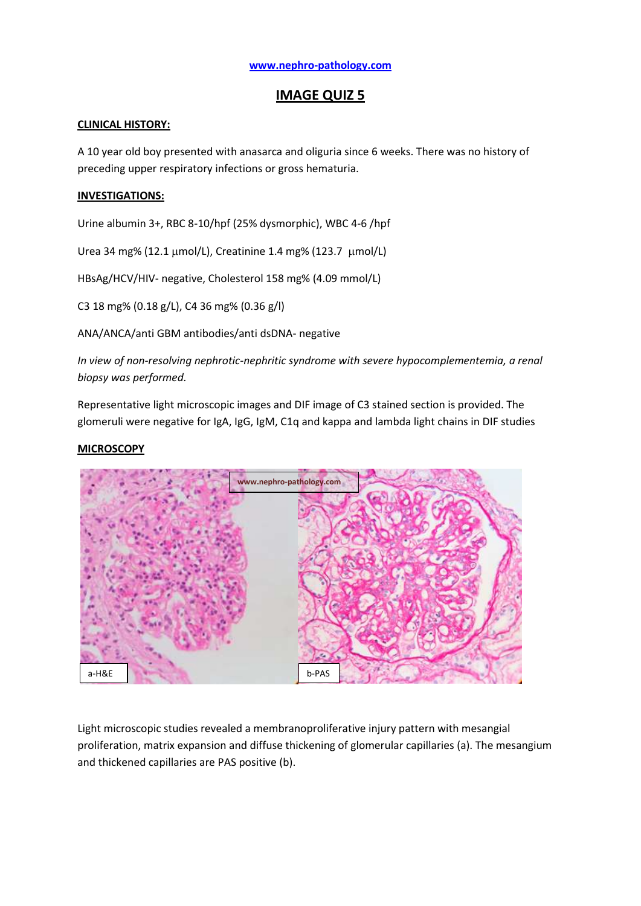# **IMAGE QUIZ 5**

## **CLINICAL HISTORY:**

A 10 year old boy presented with anasarca and oliguria since 6 weeks. There was no history of preceding upper respiratory infections or gross hematuria.

## **INVESTIGATIONS:**

Urine albumin 3+, RBC 8-10/hpf (25% dysmorphic), WBC 4-6 /hpf

Urea 34 mg% (12.1 µmol/L), Creatinine 1.4 mg% (123.7 µmol/L)

HBsAg/HCV/HIV- negative, Cholesterol 158 mg% (4.09 mmol/L)

C3 18 mg% (0.18 g/L), C4 36 mg% (0.36 g/l)

ANA/ANCA/anti GBM antibodies/anti dsDNA- negative

*In view of non-resolving nephrotic-nephritic syndrome with severe hypocomplementemia, a renal biopsy was performed.*

Representative light microscopic images and DIF image of C3 stained section is provided. The glomeruli were negative for IgA, IgG, IgM, C1q and kappa and lambda light chains in DIF studies

#### **MICROSCOPY**



Light microscopic studies revealed a membranoproliferative injury pattern with mesangial proliferation, matrix expansion and diffuse thickening of glomerular capillaries (a). The mesangium and thickened capillaries are PAS positive (b).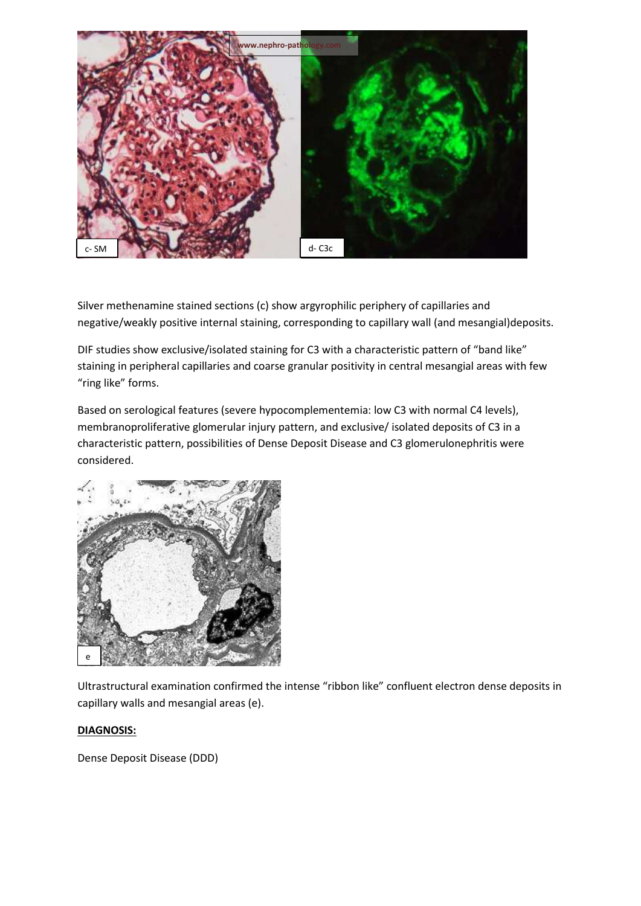

Silver methenamine stained sections (c) show argyrophilic periphery of capillaries and negative/weakly positive internal staining, corresponding to capillary wall (and mesangial)deposits.

DIF studies show exclusive/isolated staining for C3 with a characteristic pattern of "band like" staining in peripheral capillaries and coarse granular positivity in central mesangial areas with few "ring like" forms.

Based on serological features (severe hypocomplementemia: low C3 with normal C4 levels), membranoproliferative glomerular injury pattern, and exclusive/ isolated deposits of C3 in a characteristic pattern, possibilities of Dense Deposit Disease and C3 glomerulonephritis were considered.



Ultrastructural examination confirmed the intense "ribbon like" confluent electron dense deposits in capillary walls and mesangial areas (e).

## **DIAGNOSIS:**

Dense Deposit Disease (DDD)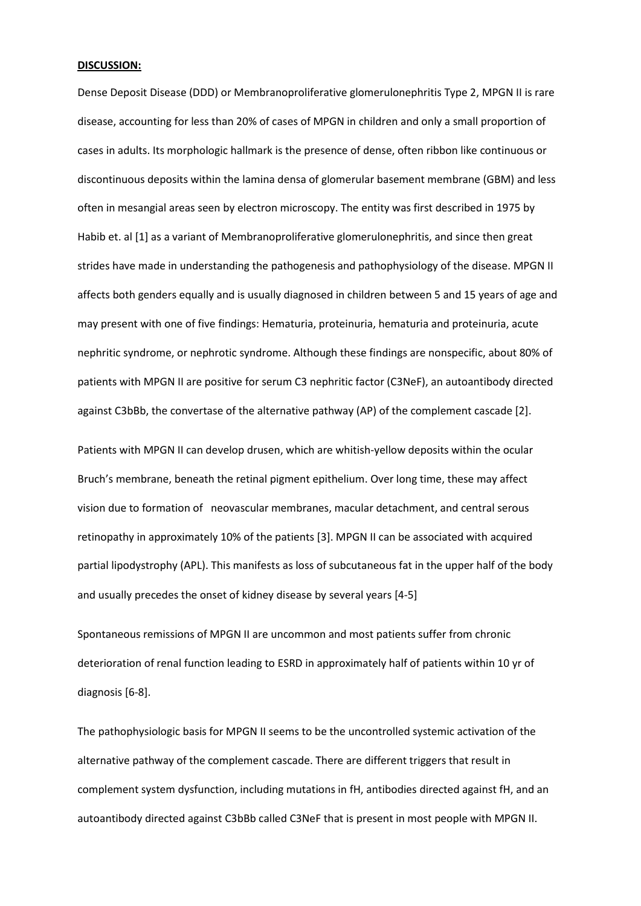#### **DISCUSSION:**

Dense Deposit Disease (DDD) or Membranoproliferative glomerulonephritis Type 2, MPGN II is rare disease, accounting for less than 20% of cases of MPGN in children and only a small proportion of cases in adults. Its morphologic hallmark is the presence of dense, often ribbon like continuous or discontinuous deposits within the lamina densa of glomerular basement membrane (GBM) and less often in mesangial areas seen by electron microscopy. The entity was first described in 1975 by Habib et. al [1] as a variant of Membranoproliferative glomerulonephritis, and since then great strides have made in understanding the pathogenesis and pathophysiology of the disease. MPGN II affects both genders equally and is usually diagnosed in children between 5 and 15 years of age and may present with one of five findings: Hematuria, proteinuria, hematuria and proteinuria, acute nephritic syndrome, or nephrotic syndrome. Although these findings are nonspecific, about 80% of patients with MPGN II are positive for serum C3 nephritic factor (C3NeF), an autoantibody directed against C3bBb, the convertase of the alternative pathway (AP) of the complement cascade [2].

Patients with MPGN II can develop drusen, which are whitish-yellow deposits within the ocular Bruch's membrane, beneath the retinal pigment epithelium. Over long time, these may affect vision due to formation of neovascular membranes, macular detachment, and central serous retinopathy in approximately 10% of the patients [3]. MPGN II can be associated with acquired partial lipodystrophy (APL). This manifests as loss of subcutaneous fat in the upper half of the body and usually precedes the onset of kidney disease by several years [4-5]

Spontaneous remissions of MPGN II are uncommon and most patients suffer from chronic deterioration of renal function leading to ESRD in approximately half of patients within 10 yr of diagnosis [6-8].

The pathophysiologic basis for MPGN II seems to be the uncontrolled systemic activation of the alternative pathway of the complement cascade. There are different triggers that result in complement system dysfunction, including mutations in fH, antibodies directed against fH, and an autoantibody directed against C3bBb called C3NeF that is present in most people with MPGN II.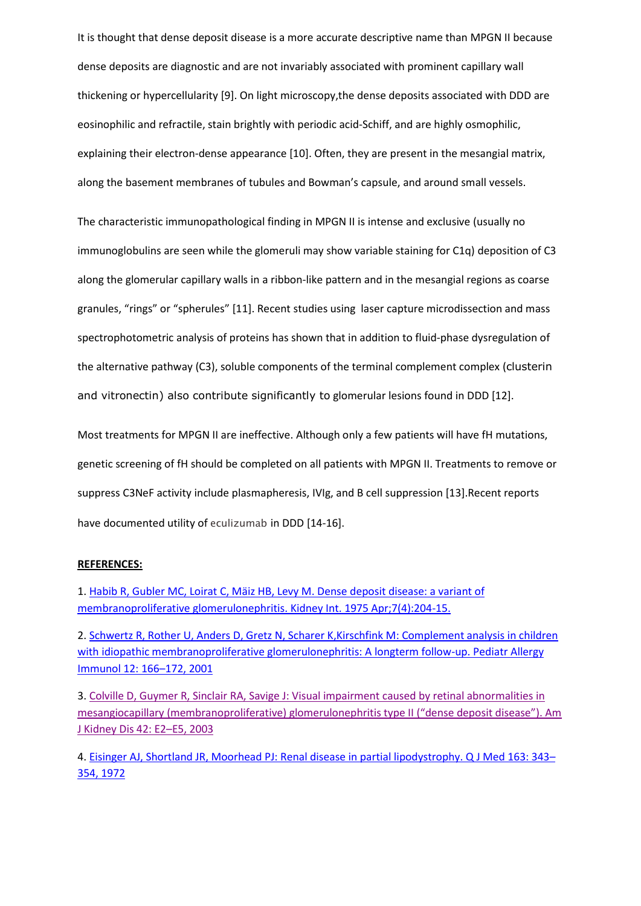It is thought that dense deposit disease is a more accurate descriptive name than MPGN II because dense deposits are diagnostic and are not invariably associated with prominent capillary wall thickening or hypercellularity [9]. On light microscopy,the dense deposits associated with DDD are eosinophilic and refractile, stain brightly with periodic acid-Schiff, and are highly osmophilic, explaining their electron-dense appearance [10]. Often, they are present in the mesangial matrix, along the basement membranes of tubules and Bowman's capsule, and around small vessels.

The characteristic immunopathological finding in MPGN II is intense and exclusive (usually no immunoglobulins are seen while the glomeruli may show variable staining for C1q) deposition of C3 along the glomerular capillary walls in a ribbon-like pattern and in the mesangial regions as coarse granules, "rings" or "spherules" [11]. Recent studies using laser capture microdissection and mass spectrophotometric analysis of proteins has shown that in addition to fluid-phase dysregulation of the alternative pathway (C3), soluble components of the terminal complement complex (clusterin and vitronectin) also contribute significantly to glomerular lesions found in DDD [12].

Most treatments for MPGN II are ineffective. Although only a few patients will have fH mutations, genetic screening of fH should be completed on all patients with MPGN II. Treatments to remove or suppress C3NeF activity include plasmapheresis, IVIg, and B cell suppression [13].Recent reports have documented utility of eculizumab in DDD [14-16].

#### **REFERENCES:**

1. [Habib R, Gubler MC, Loirat C, Mäiz HB, Levy M.](http://www.ncbi.nlm.nih.gov/pubmed/1095806?dopt=Abstract&holding=npg) Dense deposit disease: a variant of [membranoproliferative glomerulonephritis.](http://www.ncbi.nlm.nih.gov/pubmed/1095806?dopt=Abstract&holding=npg) Kidney Int. 1975 Apr;7(4):204-15.

2. [Schwertz R, Rother U, Anders D, Gretz N, Scharer K,Kirschfink M: Complement analysis in children](http://www.ingentaconnect.com/content/mksg/pai/2001/00000012/00000003/art00012)  with idiopathic membranoproliferative glomerulonephritis: A longterm follow-up. Pediatr Allergy [Immunol 12: 166](http://www.ingentaconnect.com/content/mksg/pai/2001/00000012/00000003/art00012)–172, 2001

3. [Colville D, Guymer R, Sinclair RA, Savige J: Visual impairment caused by retinal abnormalities in](http://www.ncbi.nlm.nih.gov/pubmed?term=Colville%20D%2C%20Guymer%20R%2C%20Sinclair%20RA%2C%20Savige%20J%3A%20Visual%20impairment%20caused%20by%20retinal%20abnormalities%20in%20mesangiocapillary%20(membranoproliferative)%20glomerulonephritis%20type%20II%20(%E2%80%9Cdense%20deposit%20disease%E2%80%9D).%20Am%20J%20Kidney%20Dis%2042%3A%20E2%E2%80%93E5%2C%202003)  [mesangiocapillary \(membranoproliferative\) glomerulonephritis type II](http://www.ncbi.nlm.nih.gov/pubmed?term=Colville%20D%2C%20Guymer%20R%2C%20Sinclair%20RA%2C%20Savige%20J%3A%20Visual%20impairment%20caused%20by%20retinal%20abnormalities%20in%20mesangiocapillary%20(membranoproliferative)%20glomerulonephritis%20type%20II%20(%E2%80%9Cdense%20deposit%20disease%E2%80%9D).%20Am%20J%20Kidney%20Dis%2042%3A%20E2%E2%80%93E5%2C%202003) ("dense deposit disease"). Am [J Kidney Dis 42: E2](http://www.ncbi.nlm.nih.gov/pubmed?term=Colville%20D%2C%20Guymer%20R%2C%20Sinclair%20RA%2C%20Savige%20J%3A%20Visual%20impairment%20caused%20by%20retinal%20abnormalities%20in%20mesangiocapillary%20(membranoproliferative)%20glomerulonephritis%20type%20II%20(%E2%80%9Cdense%20deposit%20disease%E2%80%9D).%20Am%20J%20Kidney%20Dis%2042%3A%20E2%E2%80%93E5%2C%202003)–E5, 2003

4. [Eisinger AJ, Shortland JR, Moorhead PJ: Renal disease in partial lipodystrophy. Q J Med 163: 343](http://www.ncbi.nlm.nih.gov/pubmed?term=Eisinger%20AJ%2C%20Shortland%20JR%2C%20Moorhead%20PJ%3A%20Renal%20disease%20in%20partial%20lipodystrophy.%20Q%20J%20Med%20163%3A%20343%E2%80%93354%2C%201972)– [354, 1972](http://www.ncbi.nlm.nih.gov/pubmed?term=Eisinger%20AJ%2C%20Shortland%20JR%2C%20Moorhead%20PJ%3A%20Renal%20disease%20in%20partial%20lipodystrophy.%20Q%20J%20Med%20163%3A%20343%E2%80%93354%2C%201972)